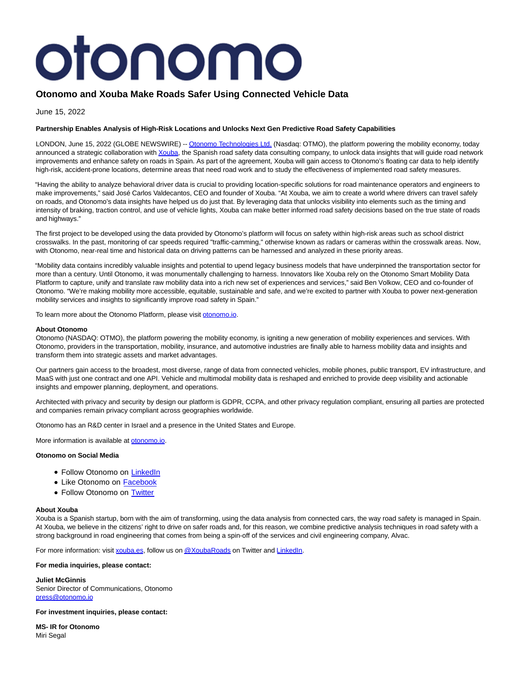# otonomo

# **Otonomo and Xouba Make Roads Safer Using Connected Vehicle Data**

June 15, 2022

# **Partnership Enables Analysis of High-Risk Locations and Unlocks Next Gen Predictive Road Safety Capabilities**

LONDON, June 15, 2022 (GLOBE NEWSWIRE) -- [Otonomo Technologies Ltd. \(](https://www.globenewswire.com/Tracker?data=DjXLprrx-vHCxSdf5I23CplgSzNYVz2pQyWhdPQ36aQZzehDnYiFBL9GNIl42iTz2iNt8FIDaeG3Lh6yvnpuf0UkwQOLHMPzyRl1P7k51Fw=)Nasdaq: OTMO), the platform powering the mobility economy, today announced a strategic collaboration with *Xouba*, the Spanish road safety data consulting company, to unlock data insights that will guide road network improvements and enhance safety on roads in Spain. As part of the agreement, Xouba will gain access to Otonomo's floating car data to help identify high-risk, accident-prone locations, determine areas that need road work and to study the effectiveness of implemented road safety measures.

"Having the ability to analyze behavioral driver data is crucial to providing location-specific solutions for road maintenance operators and engineers to make improvements," said José Carlos Valdecantos, CEO and founder of Xouba. "At Xouba, we aim to create a world where drivers can travel safely on roads, and Otonomo's data insights have helped us do just that. By leveraging data that unlocks visibility into elements such as the timing and intensity of braking, traction control, and use of vehicle lights, Xouba can make better informed road safety decisions based on the true state of roads and highways."

The first project to be developed using the data provided by Otonomo's platform will focus on safety within high-risk areas such as school district crosswalks. In the past, monitoring of car speeds required "traffic-camming," otherwise known as radars or cameras within the crosswalk areas. Now, with Otonomo, near-real time and historical data on driving patterns can be harnessed and analyzed in these priority areas.

"Mobility data contains incredibly valuable insights and potential to upend legacy business models that have underpinned the transportation sector for more than a century. Until Otonomo, it was monumentally challenging to harness. Innovators like Xouba rely on the Otonomo Smart Mobility Data Platform to capture, unify and translate raw mobility data into a rich new set of experiences and services," said Ben Volkow, CEO and co-founder of Otonomo. "We're making mobility more accessible, equitable, sustainable and safe, and we're excited to partner with Xouba to power next-generation mobility services and insights to significantly improve road safety in Spain."

To learn more about the Otonomo Platform, please visit [otonomo.io.](https://www.globenewswire.com/Tracker?data=vyemxXNEi3eYKee6h96Tmi3zt2xebnPNotrnQQrybTqv5oyRoojZ8HfemHTDxkTT9eD-xnJ3lCk5h_H-JdTTNw==)

## **About Otonomo**

Otonomo (NASDAQ: OTMO), the platform powering the mobility economy, is igniting a new generation of mobility experiences and services. With Otonomo, providers in the transportation, mobility, insurance, and automotive industries are finally able to harness mobility data and insights and transform them into strategic assets and market advantages.

Our partners gain access to the broadest, most diverse, range of data from connected vehicles, mobile phones, public transport, EV infrastructure, and MaaS with just one contract and one API. Vehicle and multimodal mobility data is reshaped and enriched to provide deep visibility and actionable insights and empower planning, deployment, and operations.

Architected with privacy and security by design our platform is GDPR, CCPA, and other privacy regulation compliant, ensuring all parties are protected and companies remain privacy compliant across geographies worldwide.

Otonomo has an R&D center in Israel and a presence in the United States and Europe.

More information is available at [otonomo.io.](https://www.globenewswire.com/Tracker?data=vyemxXNEi3eYKee6h96Tmh46cniNln7pdy2ST2kUoZRLAbX5Ntt29_k9FhCn0zNlQEMoLmscxAypqNucMrPGkw==)

# **Otonomo on Social Media**

- Follow Otonomo on [LinkedIn](https://www.linkedin.com/company/otonomo)
- Like Otonomo on **Facebook**
- Follow Otonomo on [Twitter](https://twitter.com/otonomo_)

#### **About Xouba**

Xouba is a Spanish startup, born with the aim of transforming, using the data analysis from connected cars, the way road safety is managed in Spain. At Xouba, we believe in the citizens' right to drive on safer roads and, for this reason, we combine predictive analysis techniques in road safety with a strong background in road engineering that comes from being a spin-off of the services and civil engineering company, Alvac.

For more information: visit [xouba.es,](https://www.globenewswire.com/Tracker?data=3U7Nc4k4w8ozGcwcRsTZ3Vm_8JqB2J8V4lLS0dnCdw3sG-yRpompVNvwxyvZIjHO) follow us o[n @XoubaRoads o](https://www.globenewswire.com/Tracker?data=rGWgE7DufNm1tgPkNf-ozs1lX1FFjukq0w4Njr5ZK3_9SnvoExf_97zKPpTRASs8dsyzhOmyOh9PmSks6srpGA==)n Twitter an[d LinkedIn.](https://www.globenewswire.com/Tracker?data=hDtq0Qk1FaDBtSPAbQQqOON8C_4EkSv0wzF3blNaCvFPFgNv7XVURv0uqGfNx9oWSq2fiYCHGNmq3DO8S9H0b6DMhKQgYPWT5PnA4mZKjro=)

**For media inquiries, please contact:**

**Juliet McGinnis** Senior Director of Communications, Otonomo [press@otonomo.io](https://www.globenewswire.com/Tracker?data=9BNHJlnt7OJ0Gy_ak-4lLdsCXe53mAoMg8i70ZQ8PiD0NLQchiXID8T5LoLc9LPoxaSJiV4Wb-LG_Ifllws8OQ==)

**For investment inquiries, please contact:**

**MS- IR for Otonomo** Miri Segal